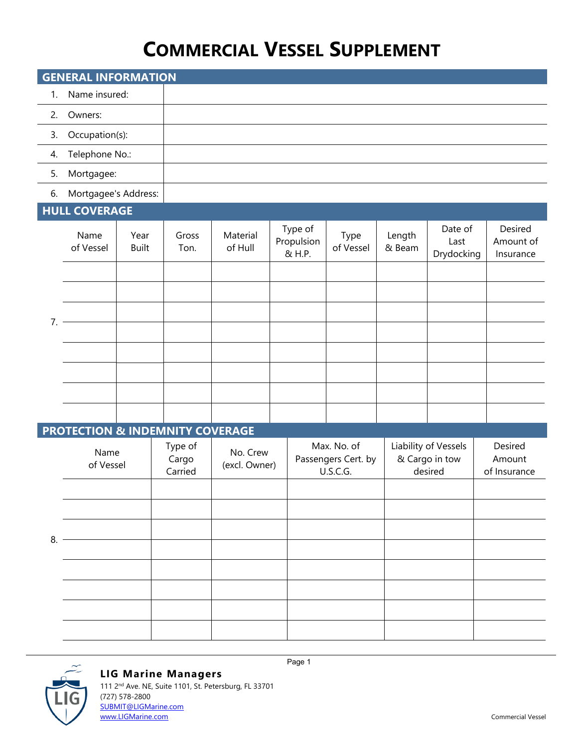## **COMMERCIAL VESSEL SUPPLEMENT**

| <b>GENERAL INFORMATION</b> |                   |  |  |  |  |
|----------------------------|-------------------|--|--|--|--|
| 1.                         | Name insured:     |  |  |  |  |
| 2.                         | Owners:           |  |  |  |  |
|                            | 3. Occupation(s): |  |  |  |  |
| 4.                         | Telephone No.:    |  |  |  |  |
| 5.                         | Mortgagee:        |  |  |  |  |

### 6. Mortgagee's Address:

## **HULL COVERAGE**

|    | ________          |                      |               |                     |                                 |                   |                  |                               |                                   |
|----|-------------------|----------------------|---------------|---------------------|---------------------------------|-------------------|------------------|-------------------------------|-----------------------------------|
|    | Name<br>of Vessel | Year<br><b>Built</b> | Gross<br>Ton. | Material<br>of Hull | Type of<br>Propulsion<br>& H.P. | Type<br>of Vessel | Length<br>& Beam | Date of<br>Last<br>Drydocking | Desired<br>Amount of<br>Insurance |
| 7. |                   |                      |               |                     |                                 |                   |                  |                               |                                   |
|    |                   |                      |               |                     |                                 |                   |                  |                               |                                   |
|    |                   |                      |               |                     |                                 |                   |                  |                               |                                   |
|    |                   |                      |               |                     |                                 |                   |                  |                               |                                   |
|    |                   |                      |               |                     |                                 |                   |                  |                               |                                   |
|    |                   |                      |               |                     |                                 |                   |                  |                               |                                   |
|    |                   |                      |               |                     |                                 |                   |                  |                               |                                   |
|    |                   |                      |               |                     |                                 |                   |                  |                               |                                   |

## **PROTECTION & INDEMNITY COVERAGE**

|    | Name<br>of Vessel | Type of<br>Cargo<br>Carried | No. Crew<br>(excl. Owner) | Max. No. of<br>Passengers Cert. by<br>U.S.C.G. | Liability of Vessels<br>& Cargo in tow<br>desired | Desired<br>Amount<br>of Insurance |
|----|-------------------|-----------------------------|---------------------------|------------------------------------------------|---------------------------------------------------|-----------------------------------|
| 8. |                   |                             |                           |                                                |                                                   |                                   |
|    |                   |                             |                           |                                                |                                                   |                                   |
|    |                   |                             |                           |                                                |                                                   |                                   |
|    |                   |                             |                           |                                                |                                                   |                                   |
|    |                   |                             |                           |                                                |                                                   |                                   |
|    |                   |                             |                           |                                                |                                                   |                                   |
|    |                   |                             |                           |                                                |                                                   |                                   |
|    |                   |                             |                           |                                                |                                                   |                                   |

Page 1



### **LIG Marine Managers**

111 2<sup>nd</sup> Ave. NE, Suite 1101, St. Petersburg, FL 33701 (727) 578-2800 [SUBMIT@LIGMarine.com](mailto:SUBMIT@LIGMarine.com)